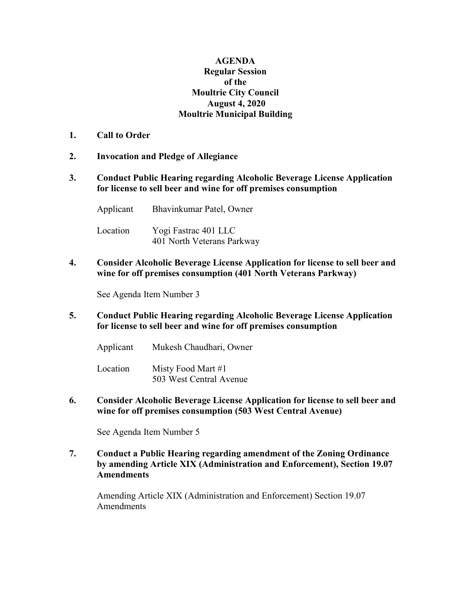## **AGENDA Regular Session of the Moultrie City Council August 4, 2020 Moultrie Municipal Building**

- **1. Call to Order**
- **2. Invocation and Pledge of Allegiance**
- **3. Conduct Public Hearing regarding Alcoholic Beverage License Application for license to sell beer and wine for off premises consumption**

Applicant Bhavinkumar Patel, Owner Location Yogi Fastrac 401 LLC 401 North Veterans Parkway

**4. Consider Alcoholic Beverage License Application for license to sell beer and wine for off premises consumption (401 North Veterans Parkway)**

See Agenda Item Number 3

**5. Conduct Public Hearing regarding Alcoholic Beverage License Application for license to sell beer and wine for off premises consumption** 

Applicant Mukesh Chaudhari, Owner

Location Misty Food Mart #1 503 West Central Avenue

**6. Consider Alcoholic Beverage License Application for license to sell beer and wine for off premises consumption (503 West Central Avenue)**

See Agenda Item Number 5

**7. Conduct a Public Hearing regarding amendment of the Zoning Ordinance by amending Article XIX (Administration and Enforcement), Section 19.07 Amendments**

Amending Article XIX (Administration and Enforcement) Section 19.07 Amendments